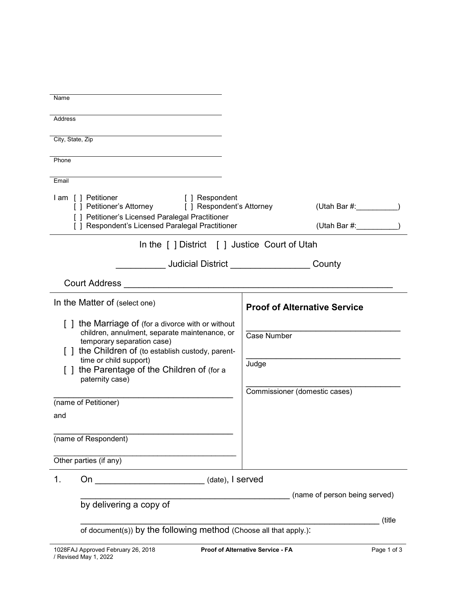| Name                                                                                                                                                                                                                                                                         |                                                                   |  |  |  |
|------------------------------------------------------------------------------------------------------------------------------------------------------------------------------------------------------------------------------------------------------------------------------|-------------------------------------------------------------------|--|--|--|
| Address                                                                                                                                                                                                                                                                      |                                                                   |  |  |  |
| City, State, Zip                                                                                                                                                                                                                                                             |                                                                   |  |  |  |
| Phone                                                                                                                                                                                                                                                                        |                                                                   |  |  |  |
| Email                                                                                                                                                                                                                                                                        |                                                                   |  |  |  |
| I am [ ] Petitioner<br>[ ] Respondent<br>[] Petitioner's Attorney [] Respondent's Attorney<br>[ ] Petitioner's Licensed Paralegal Practitioner<br>[ ] Respondent's Licensed Paralegal Practitioner                                                                           | (Utah Bar #:<br>(Utah Bar #: _________                            |  |  |  |
|                                                                                                                                                                                                                                                                              |                                                                   |  |  |  |
| In the [] District [] Justice Court of Utah                                                                                                                                                                                                                                  |                                                                   |  |  |  |
|                                                                                                                                                                                                                                                                              | <b>Judicial District County</b>                                   |  |  |  |
|                                                                                                                                                                                                                                                                              |                                                                   |  |  |  |
| In the Matter of (select one)                                                                                                                                                                                                                                                | <b>Proof of Alternative Service</b>                               |  |  |  |
| [] the Marriage of (for a divorce with or without<br>children, annulment, separate maintenance, or<br>temporary separation case)<br>1 the Children of (to establish custody, parent-<br>time or child support)<br>the Parentage of the Children of (for a<br>paternity case) | <b>Case Number</b><br>Judge<br>Commissioner (domestic cases)      |  |  |  |
| (name of Petitioner)                                                                                                                                                                                                                                                         |                                                                   |  |  |  |
| and                                                                                                                                                                                                                                                                          |                                                                   |  |  |  |
| (name of Respondent)                                                                                                                                                                                                                                                         |                                                                   |  |  |  |
| Other parties (if any)                                                                                                                                                                                                                                                       |                                                                   |  |  |  |
| 1.                                                                                                                                                                                                                                                                           |                                                                   |  |  |  |
| (name of person being served)                                                                                                                                                                                                                                                |                                                                   |  |  |  |
| by delivering a copy of                                                                                                                                                                                                                                                      | (title                                                            |  |  |  |
|                                                                                                                                                                                                                                                                              | of document(s)) by the following method (Choose all that apply.): |  |  |  |
|                                                                                                                                                                                                                                                                              |                                                                   |  |  |  |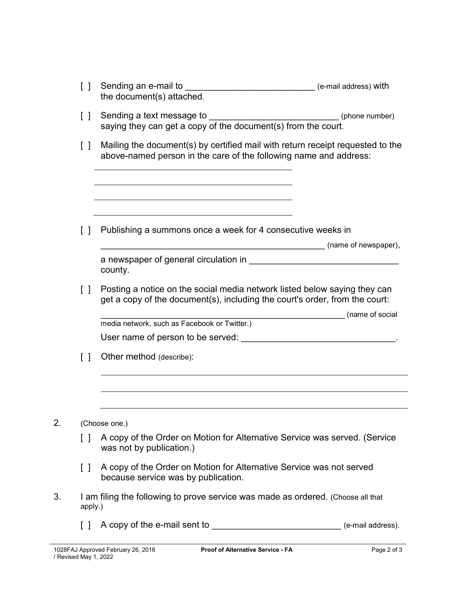|    | I I                               | Sending an e-mail to<br>the document(s) attached.                                                                                                                           | (e-mail address) with |
|----|-----------------------------------|-----------------------------------------------------------------------------------------------------------------------------------------------------------------------------|-----------------------|
|    | $\Box$                            | Sending a text message to _________________________________(phone number)<br>saying they can get a copy of the document(s) from the court.                                  |                       |
|    | $\Box$                            | Mailing the document(s) by certified mail with return receipt requested to the<br>above-named person in the care of the following name and address:                         |                       |
|    | $\perp$                           | Publishing a summons once a week for 4 consecutive weeks in                                                                                                                 |                       |
|    |                                   | a newspaper of general circulation in <b>EXALC AN ADVISION CONTROLLER CONTROLLER AND THE CONTROL CONTROL</b><br>county.                                                     |                       |
|    | $\Box$                            | Posting a notice on the social media network listed below saying they can<br>get a copy of the document(s), including the court's order, from the court:<br>(name of social |                       |
|    |                                   | media network, such as Facebook or Twitter.)                                                                                                                                |                       |
|    |                                   |                                                                                                                                                                             |                       |
|    | $\begin{bmatrix} 1 \end{bmatrix}$ | Other method (describe):                                                                                                                                                    |                       |
|    |                                   |                                                                                                                                                                             |                       |
| 2. |                                   | (Choose one.)                                                                                                                                                               |                       |
|    | $\Box$                            | A copy of the Order on Motion for Alternative Service was served. (Service<br>was not by publication.)                                                                      |                       |
|    | $\Box$                            | A copy of the Order on Motion for Alternative Service was not served<br>because service was by publication.                                                                 |                       |
| 3. | apply.)                           | I am filing the following to prove service was made as ordered. (Choose all that                                                                                            |                       |
|    | $\Box$                            | A copy of the e-mail sent to ______________________________ (e-mail address).                                                                                               |                       |
|    |                                   |                                                                                                                                                                             |                       |

 $2.$